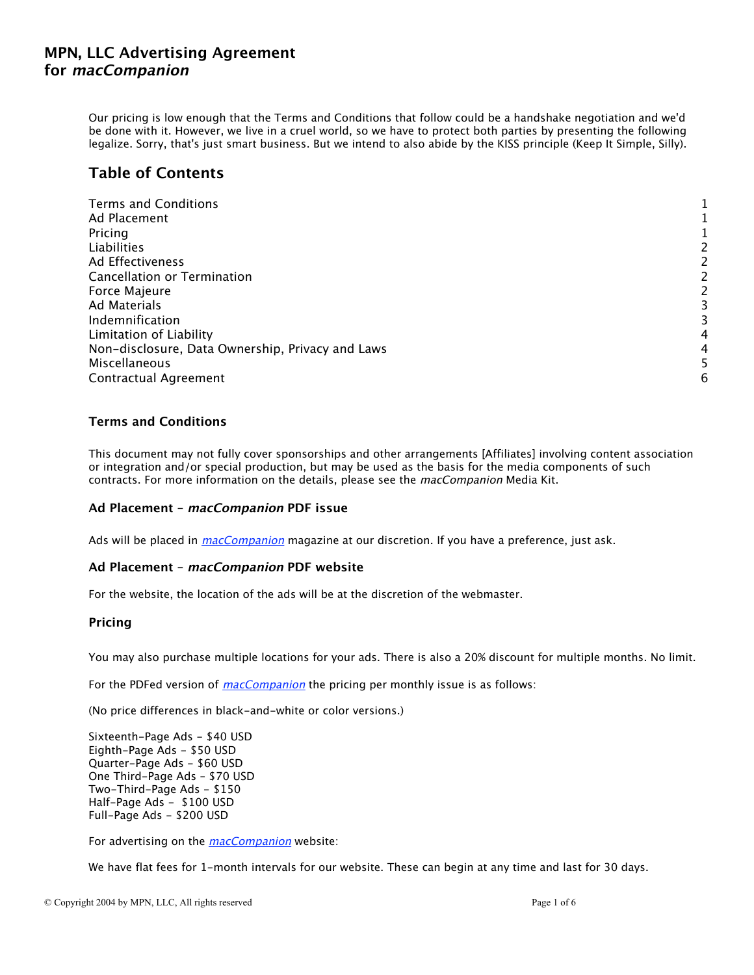Our pricing is low enough that the Terms and Conditions that follow could be a handshake negotiation and we'd be done with it. However, we live in a cruel world, so we have to protect both parties by presenting the following legalize. Sorry, that's just smart business. But we intend to also abide by the KISS principle (Keep It Simple, Silly).

# **Table of Contents**

| <b>Terms and Conditions</b>                      |   |
|--------------------------------------------------|---|
| Ad Placement                                     |   |
| Pricing                                          |   |
| Liabilities                                      |   |
| Ad Effectiveness                                 |   |
| <b>Cancellation or Termination</b>               |   |
| Force Majeure                                    |   |
| Ad Materials                                     |   |
| Indemnification                                  |   |
| Limitation of Liability                          | 4 |
| Non-disclosure, Data Ownership, Privacy and Laws | 4 |
| Miscellaneous                                    |   |
| Contractual Agreement                            | 6 |

## **Terms and Conditions**

This document may not fully cover sponsorships and other arrangements [Affiliates] involving content association or integration and/or special production, but may be used as the basis for the media components of such contracts. For more information on the details, please see the macCompanion Media Kit.

## **Ad Placement – macCompanion PDF issue**

Ads will be placed in *macCompanion* magazine at our discretion. If you have a preference, just ask.

## **Ad Placement – macCompanion PDF website**

For the website, the location of the ads will be at the discretion of the webmaster.

## **Pricing**

You may also purchase multiple locations for your ads. There is also a 20% discount for multiple months. No limit.

For the PDFed version of *macCompanion* the pricing per monthly issue is as follows:

(No price differences in black-and-white or color versions.)

Sixteenth-Page Ads - \$40 USD Eighth-Page Ads - \$50 USD Quarter-Page Ads - \$60 USD One Third-Page Ads – \$70 USD Two-Third-Page Ads - \$150 Half-Page Ads - \$100 USD Full-Page Ads - \$200 USD

For advertising on the *macCompanion* website:

We have flat fees for 1-month intervals for our website. These can begin at any time and last for 30 days.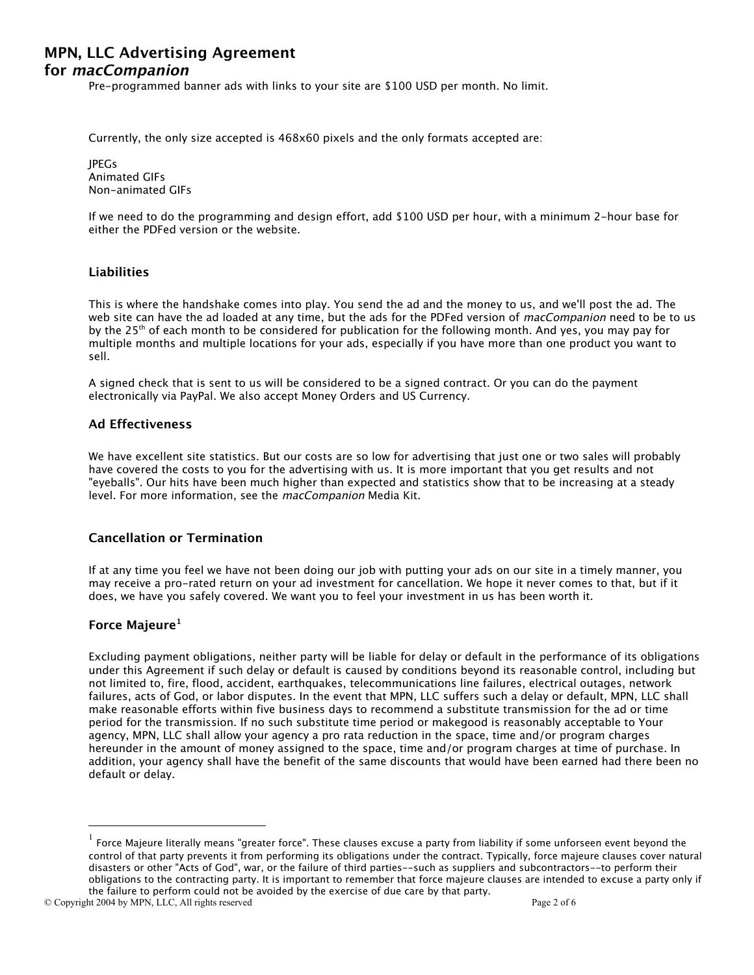<span id="page-1-0"></span>Pre-programmed banner ads with links to your site are \$100 USD per month. No limit.

Currently, the only size accepted is 468x60 pixels and the only formats accepted are:

JPEGs Animated GIFs Non-animated GIFs

If we need to do the programming and design effort, add \$100 USD per hour, with a minimum 2-hour base for either the PDFed version or the website.

## **Liabilities**

This is where the handshake comes into play. You send the ad and the money to us, and we'll post the ad. The web site can have the ad loaded at any time, but the ads for the PDFed version of *macCompanion* need to be to us by the 25<sup>th</sup> of each month to be considered for publication for the following month. And yes, you may pay for multiple months and multiple locations for your ads, especially if you have more than one product you want to sell.

A signed check that is sent to us will be considered to be a signed contract. Or you can do the payment electronically via PayPal. We also accept Money Orders and US Currency.

### **Ad Effectiveness**

We have excellent site statistics. But our costs are so low for advertising that just one or two sales will probably have covered the costs to you for the advertising with us. It is more important that you get results and not "eyeballs". Our hits have been much higher than expected and statistics show that to be increasing at a steady level. For more information, see the macCompanion Media Kit.

#### **Cancellation or Termination**

If at any time you feel we have not been doing our job with putting your ads on our site in a timely manner, you may receive a pro-rated return on your ad investment for cancellation. We hope it never comes to that, but if it does, we have you safely covered. We want you to feel your investment in us has been worth it.

### **Force Majeure1**

Excluding payment obligations, neither party will be liable for delay or default in the performance of its obligations under this Agreement if such delay or default is caused by conditions beyond its reasonable control, including but not limited to, fire, flood, accident, earthquakes, telecommunications line failures, electrical outages, network failures, acts of God, or labor disputes. In the event that MPN, LLC suffers such a delay or default, MPN, LLC shall make reasonable efforts within five business days to recommend a substitute transmission for the ad or time period for the transmission. If no such substitute time period or makegood is reasonably acceptable to Your agency, MPN, LLC shall allow your agency a pro rata reduction in the space, time and/or program charges hereunder in the amount of money assigned to the space, time and/or program charges at time of purchase. In addition, your agency shall have the benefit of the same discounts that would have been earned had there been no default or delay.

© Copyright 2004 by MPN, LLC, All rights reserved Page 2 of 6

 <sup>1</sup> Force Majeure literally means "greater force". These clauses excuse a party from liability if some unforseen event beyond the control of that party prevents it from performing its obligations under the contract. Typically, force majeure clauses cover natural disasters or other "Acts of God", war, or the failure of third parties--such as suppliers and subcontractors--to perform their obligations to the contracting party. It is important to remember that force majeure clauses are intended to excuse a party only if the failure to perform could not be avoided by the exercise of due care by that party.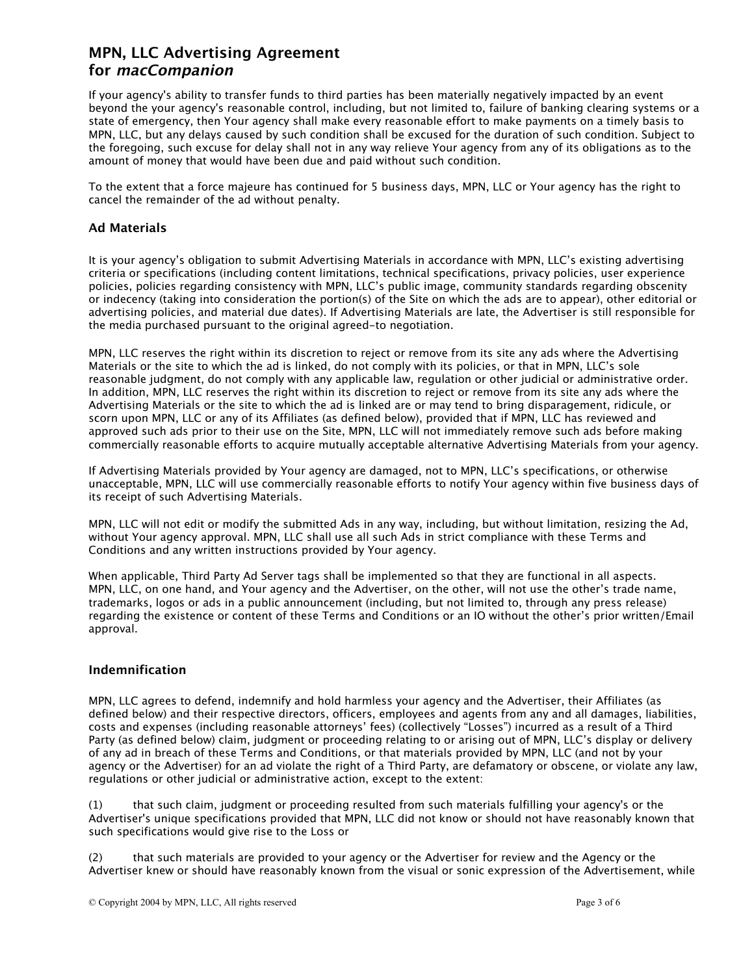<span id="page-2-0"></span>If your agency's ability to transfer funds to third parties has been materially negatively impacted by an event beyond the your agency's reasonable control, including, but not limited to, failure of banking clearing systems or a state of emergency, then Your agency shall make every reasonable effort to make payments on a timely basis to MPN, LLC, but any delays caused by such condition shall be excused for the duration of such condition. Subject to the foregoing, such excuse for delay shall not in any way relieve Your agency from any of its obligations as to the amount of money that would have been due and paid without such condition.

To the extent that a force majeure has continued for 5 business days, MPN, LLC or Your agency has the right to cancel the remainder of the ad without penalty.

## **Ad Materials**

It is your agency's obligation to submit Advertising Materials in accordance with MPN, LLC's existing advertising criteria or specifications (including content limitations, technical specifications, privacy policies, user experience policies, policies regarding consistency with MPN, LLC's public image, community standards regarding obscenity or indecency (taking into consideration the portion(s) of the Site on which the ads are to appear), other editorial or advertising policies, and material due dates). If Advertising Materials are late, the Advertiser is still responsible for the media purchased pursuant to the original agreed-to negotiation.

MPN, LLC reserves the right within its discretion to reject or remove from its site any ads where the Advertising Materials or the site to which the ad is linked, do not comply with its policies, or that in MPN, LLC's sole reasonable judgment, do not comply with any applicable law, regulation or other judicial or administrative order. In addition, MPN, LLC reserves the right within its discretion to reject or remove from its site any ads where the Advertising Materials or the site to which the ad is linked are or may tend to bring disparagement, ridicule, or scorn upon MPN, LLC or any of its Affiliates (as defined below), provided that if MPN, LLC has reviewed and approved such ads prior to their use on the Site, MPN, LLC will not immediately remove such ads before making commercially reasonable efforts to acquire mutually acceptable alternative Advertising Materials from your agency.

If Advertising Materials provided by Your agency are damaged, not to MPN, LLC's specifications, or otherwise unacceptable, MPN, LLC will use commercially reasonable efforts to notify Your agency within five business days of its receipt of such Advertising Materials.

MPN, LLC will not edit or modify the submitted Ads in any way, including, but without limitation, resizing the Ad, without Your agency approval. MPN, LLC shall use all such Ads in strict compliance with these Terms and Conditions and any written instructions provided by Your agency.

When applicable, Third Party Ad Server tags shall be implemented so that they are functional in all aspects. MPN, LLC, on one hand, and Your agency and the Advertiser, on the other, will not use the other's trade name, trademarks, logos or ads in a public announcement (including, but not limited to, through any press release) regarding the existence or content of these Terms and Conditions or an IO without the other's prior written/Email approval.

# **Indemnification**

MPN, LLC agrees to defend, indemnify and hold harmless your agency and the Advertiser, their Affiliates (as defined below) and their respective directors, officers, employees and agents from any and all damages, liabilities, costs and expenses (including reasonable attorneys' fees) (collectively "Losses") incurred as a result of a Third Party (as defined below) claim, judgment or proceeding relating to or arising out of MPN, LLC's display or delivery of any ad in breach of these Terms and Conditions, or that materials provided by MPN, LLC (and not by your agency or the Advertiser) for an ad violate the right of a Third Party, are defamatory or obscene, or violate any law, regulations or other judicial or administrative action, except to the extent:

(1) that such claim, judgment or proceeding resulted from such materials fulfilling your agency's or the Advertiser's unique specifications provided that MPN, LLC did not know or should not have reasonably known that such specifications would give rise to the Loss or

(2) that such materials are provided to your agency or the Advertiser for review and the Agency or the Advertiser knew or should have reasonably known from the visual or sonic expression of the Advertisement, while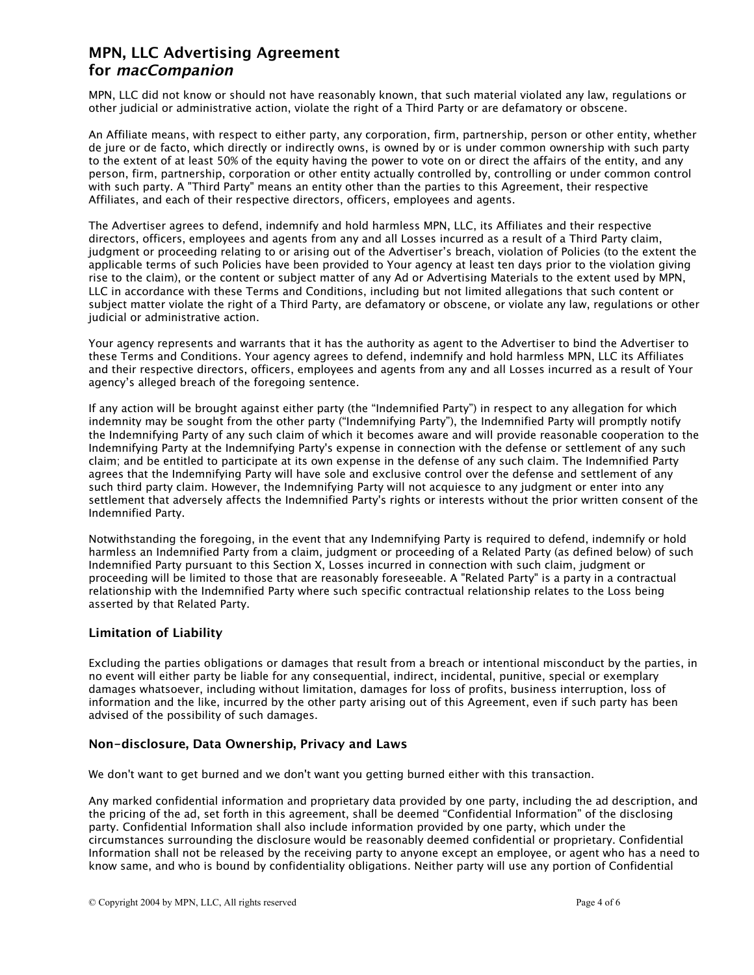<span id="page-3-0"></span>MPN, LLC did not know or should not have reasonably known, that such material violated any law, regulations or other judicial or administrative action, violate the right of a Third Party or are defamatory or obscene.

An Affiliate means, with respect to either party, any corporation, firm, partnership, person or other entity, whether de jure or de facto, which directly or indirectly owns, is owned by or is under common ownership with such party to the extent of at least 50% of the equity having the power to vote on or direct the affairs of the entity, and any person, firm, partnership, corporation or other entity actually controlled by, controlling or under common control with such party. A "Third Party" means an entity other than the parties to this Agreement, their respective Affiliates, and each of their respective directors, officers, employees and agents.

The Advertiser agrees to defend, indemnify and hold harmless MPN, LLC, its Affiliates and their respective directors, officers, employees and agents from any and all Losses incurred as a result of a Third Party claim, judgment or proceeding relating to or arising out of the Advertiser's breach, violation of Policies (to the extent the applicable terms of such Policies have been provided to Your agency at least ten days prior to the violation giving rise to the claim), or the content or subject matter of any Ad or Advertising Materials to the extent used by MPN, LLC in accordance with these Terms and Conditions, including but not limited allegations that such content or subject matter violate the right of a Third Party, are defamatory or obscene, or violate any law, regulations or other judicial or administrative action.

Your agency represents and warrants that it has the authority as agent to the Advertiser to bind the Advertiser to these Terms and Conditions. Your agency agrees to defend, indemnify and hold harmless MPN, LLC its Affiliates and their respective directors, officers, employees and agents from any and all Losses incurred as a result of Your agency's alleged breach of the foregoing sentence.

If any action will be brought against either party (the "Indemnified Party") in respect to any allegation for which indemnity may be sought from the other party ("Indemnifying Party"), the Indemnified Party will promptly notify the Indemnifying Party of any such claim of which it becomes aware and will provide reasonable cooperation to the Indemnifying Party at the Indemnifying Party's expense in connection with the defense or settlement of any such claim; and be entitled to participate at its own expense in the defense of any such claim. The Indemnified Party agrees that the Indemnifying Party will have sole and exclusive control over the defense and settlement of any such third party claim. However, the Indemnifying Party will not acquiesce to any judgment or enter into any settlement that adversely affects the Indemnified Party's rights or interests without the prior written consent of the Indemnified Party.

Notwithstanding the foregoing, in the event that any Indemnifying Party is required to defend, indemnify or hold harmless an Indemnified Party from a claim, judgment or proceeding of a Related Party (as defined below) of such Indemnified Party pursuant to this Section X, Losses incurred in connection with such claim, judgment or proceeding will be limited to those that are reasonably foreseeable. A "Related Party" is a party in a contractual relationship with the Indemnified Party where such specific contractual relationship relates to the Loss being asserted by that Related Party.

## **Limitation of Liability**

Excluding the parties obligations or damages that result from a breach or intentional misconduct by the parties, in no event will either party be liable for any consequential, indirect, incidental, punitive, special or exemplary damages whatsoever, including without limitation, damages for loss of profits, business interruption, loss of information and the like, incurred by the other party arising out of this Agreement, even if such party has been advised of the possibility of such damages.

## **Non-disclosure, Data Ownership, Privacy and Laws**

We don't want to get burned and we don't want you getting burned either with this transaction.

Any marked confidential information and proprietary data provided by one party, including the ad description, and the pricing of the ad, set forth in this agreement, shall be deemed "Confidential Information" of the disclosing party. Confidential Information shall also include information provided by one party, which under the circumstances surrounding the disclosure would be reasonably deemed confidential or proprietary. Confidential Information shall not be released by the receiving party to anyone except an employee, or agent who has a need to know same, and who is bound by confidentiality obligations. Neither party will use any portion of Confidential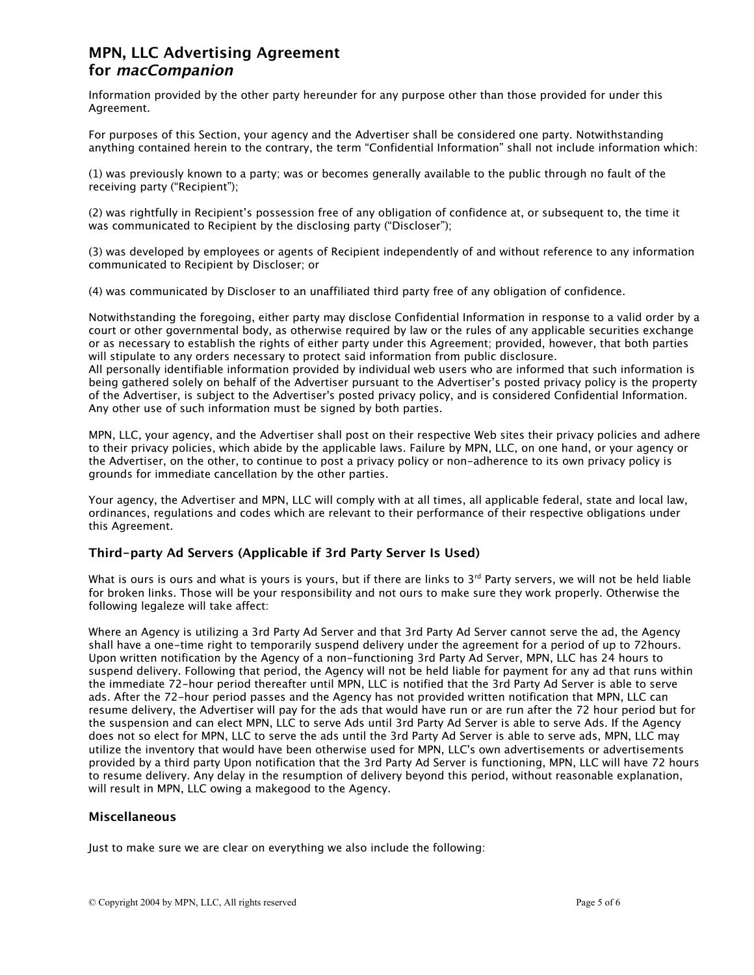<span id="page-4-0"></span>Information provided by the other party hereunder for any purpose other than those provided for under this Agreement.

For purposes of this Section, your agency and the Advertiser shall be considered one party. Notwithstanding anything contained herein to the contrary, the term "Confidential Information" shall not include information which:

(1) was previously known to a party; was or becomes generally available to the public through no fault of the receiving party ("Recipient");

(2) was rightfully in Recipient's possession free of any obligation of confidence at, or subsequent to, the time it was communicated to Recipient by the disclosing party ("Discloser");

(3) was developed by employees or agents of Recipient independently of and without reference to any information communicated to Recipient by Discloser; or

(4) was communicated by Discloser to an unaffiliated third party free of any obligation of confidence.

Notwithstanding the foregoing, either party may disclose Confidential Information in response to a valid order by a court or other governmental body, as otherwise required by law or the rules of any applicable securities exchange or as necessary to establish the rights of either party under this Agreement; provided, however, that both parties will stipulate to any orders necessary to protect said information from public disclosure.

All personally identifiable information provided by individual web users who are informed that such information is being gathered solely on behalf of the Advertiser pursuant to the Advertiser's posted privacy policy is the property of the Advertiser, is subject to the Advertiser's posted privacy policy, and is considered Confidential Information. Any other use of such information must be signed by both parties.

MPN, LLC, your agency, and the Advertiser shall post on their respective Web sites their privacy policies and adhere to their privacy policies, which abide by the applicable laws. Failure by MPN, LLC, on one hand, or your agency or the Advertiser, on the other, to continue to post a privacy policy or non-adherence to its own privacy policy is grounds for immediate cancellation by the other parties.

Your agency, the Advertiser and MPN, LLC will comply with at all times, all applicable federal, state and local law, ordinances, regulations and codes which are relevant to their performance of their respective obligations under this Agreement.

# **Third-party Ad Servers (Applicable if 3rd Party Server Is Used)**

What is ours is ours and what is yours is yours, but if there are links to  $3^{rd}$  Party servers, we will not be held liable for broken links. Those will be your responsibility and not ours to make sure they work properly. Otherwise the following legaleze will take affect:

Where an Agency is utilizing a 3rd Party Ad Server and that 3rd Party Ad Server cannot serve the ad, the Agency shall have a one-time right to temporarily suspend delivery under the agreement for a period of up to 72hours. Upon written notification by the Agency of a non-functioning 3rd Party Ad Server, MPN, LLC has 24 hours to suspend delivery. Following that period, the Agency will not be held liable for payment for any ad that runs within the immediate 72-hour period thereafter until MPN, LLC is notified that the 3rd Party Ad Server is able to serve ads. After the 72-hour period passes and the Agency has not provided written notification that MPN, LLC can resume delivery, the Advertiser will pay for the ads that would have run or are run after the 72 hour period but for the suspension and can elect MPN, LLC to serve Ads until 3rd Party Ad Server is able to serve Ads. If the Agency does not so elect for MPN, LLC to serve the ads until the 3rd Party Ad Server is able to serve ads, MPN, LLC may utilize the inventory that would have been otherwise used for MPN, LLC's own advertisements or advertisements provided by a third party Upon notification that the 3rd Party Ad Server is functioning, MPN, LLC will have 72 hours to resume delivery. Any delay in the resumption of delivery beyond this period, without reasonable explanation, will result in MPN, LLC owing a makegood to the Agency.

## **Miscellaneous**

Just to make sure we are clear on everything we also include the following: